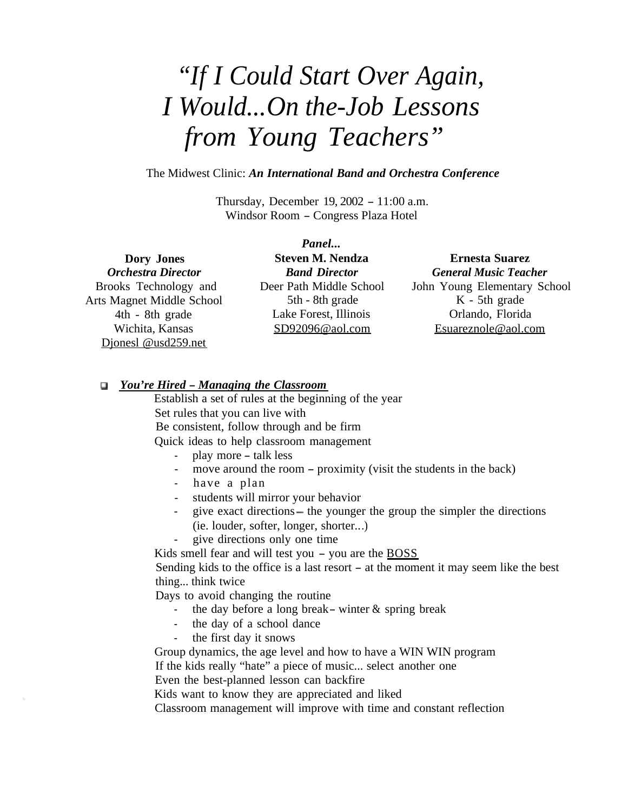## *"If I Could Start Over Again, I Would...On the-Job Lessons from Young Teachers"*

The Midwest Clinic: *An International Band and Orchestra Conference*

Thursday, December 19, 2002 - 11:00 a.m. Windsor Room - Congress Plaza Hotel

#### **Dory Jones**

*Orchestra Director* Brooks Technology and Arts Magnet Middle School 4th - 8th grade Wichita, Kansas Djonesl @usd259.net

*Panel...* **Steven M. Nendza** *Band Director* Deer Path Middle School 5th - 8th grade Lake Forest, Illinois SD92096@aol.com

#### **Ernesta Suarez** *General Music Teacher* John Young Elementary School K - 5th grade Orlando, Florida Esuareznole@aol.com

#### *<sup>0</sup> You're Hired - Managing the Classroom*

Establish a set of rules at the beginning of the year Set rules that you can live with Be consistent, follow through and be firm Quick ideas to help classroom management

- play more talk less
- move around the room proximity (visit the students in the back)
- have a plan
- students will mirror your behavior
- give exact directions the younger the group the simpler the directions (ie. louder, softer, longer, shorter.. .)
- give directions only one time

Kids smell fear and will test you  $-$  you are the  $\frac{BOSS}{BOSS}$ 

Sending kids to the office is a last resort - at the moment it may seem like the best thing... think twice

Days to avoid changing the routine

- the day before a long break winter  $\&$  spring break
- the day of a school dance
- the first day it snows

Group dynamics, the age level and how to have a WIN WIN program If the kids really "hate" a piece of music... select another one

Even the best-planned lesson can backfire

Kids want to know they are appreciated and liked

Classroom management will improve with time and constant reflection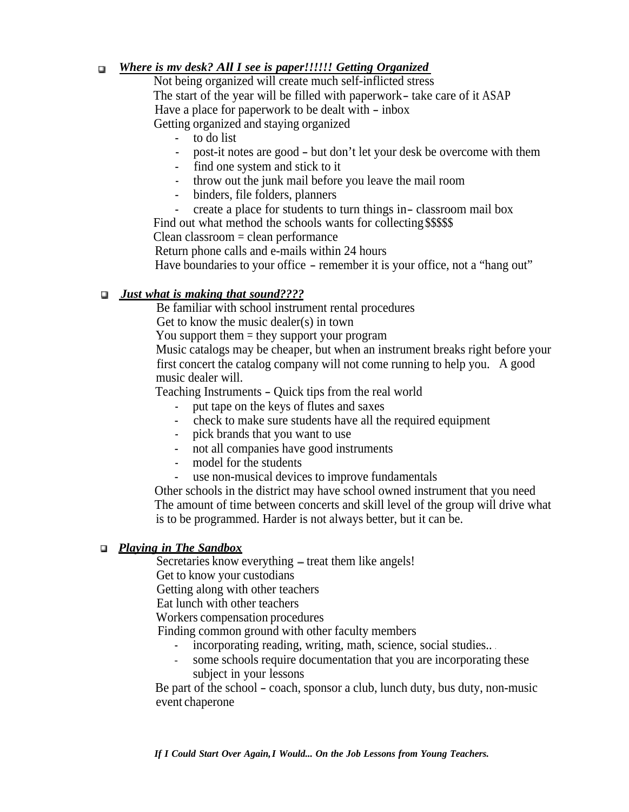#### *Where is mv desk? All I see is paper!!!!!! Getting Organized*  $\Box$

Not being organized will create much self-inflicted stress The start of the year will be filled with paperwork- take care of it ASAP Have a place for paperwork to be dealt with - inbox Getting organized and staying organized

- to do list
- post-it notes are good but don't let your desk be overcome with them
- find one system and stick to it
- throw out the junk mail before you leave the mail room
- binders, file folders, planners
- create a place for students to turn things in-classroom mail box

Find out what method the schools wants for collecting \$\$\$\$\$

Clean classroom = clean performance

Return phone calls and e-mails within 24 hours

Have boundaries to your office – remember it is your office, not a "hang out"

#### *0Just what is making that sound????*

Be familiar with school instrument rental procedures

Get to know the music dealer(s) in town

You support them = they support your program

Music catalogs may be cheaper, but when an instrument breaks right before your first concert the catalog company will not come running to help you. A good music dealer will.

Teaching Instruments - Quick tips from the real world

- put tape on the keys of flutes and saxes
- check to make sure students have all the required equipment
- pick brands that you want to use
- not all companies have good instruments
- model for the students
- use non-musical devices to improve fundamentals

Other schools in the district may have school owned instrument that you need The amount of time between concerts and skill level of the group will drive what is to be programmed. Harder is not always better, but it can be.

#### *0 Playing in The Sandbox*

Secretaries know everything – treat them like angels!

Get to know your custodians

Getting along with other teachers

Eat lunch with other teachers

Workers compensation procedures

Finding common ground with other faculty members

- incorporating reading, writing, math, science, social studies...
- some schools require documentation that you are incorporating these subject in your lessons

Be part of the school - coach, sponsor a club, lunch duty, bus duty, non-music event chaperone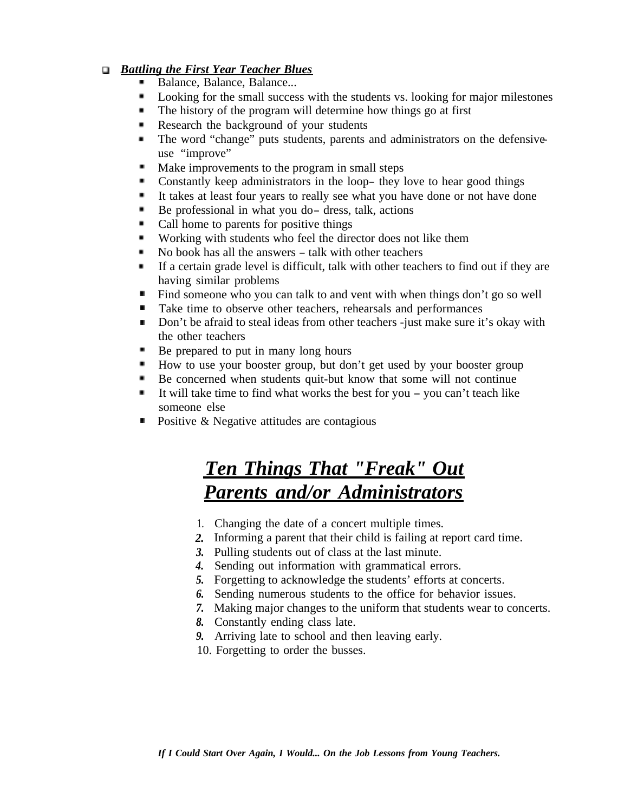#### *0 Battling the First Year Teacher Blues*

- Balance, Balance, Balance...  $\blacksquare$
- . Looking for the small success with the students vs. looking for major milestones
- $\blacksquare$ The history of the program will determine how things go at first
- Research the background of your students
- The word "change" puts students, parents and administrators on the defensive  $\blacksquare$ use "improve"
- п. Make improvements to the program in small steps
- Constantly keep administrators in the loop- they love to hear good things
- It takes at least four years to really see what you have done or not have done
- Be professional in what you do- dress, talk, actions
- Call home to parents for positive things
- Working with students who feel the director does not like them
- No book has all the answers talk with other teachers
- If a certain grade level is difficult, talk with other teachers to find out if they are having similar problems
- m Find someone who you can talk to and vent with when things don't go so well
- . Take time to observe other teachers, rehearsals and performances
- Don't be afraid to steal ideas from other teachers -just make sure it's okay with the other teachers
- Be prepared to put in many long hours
- How to use your booster group, but don't get used by your booster group
- Be concerned when students quit-but know that some will not continue
- It will take time to find what works the best for you  $-\gamma$  you can't teach like
- someone else<br> **•** Positive & Negative attitudes are contagious

### **Ten Things That "Freak" Out** *Parents and/or Administrators*

- 1. Changing the date of a concert multiple times.
- *2.* Informing a parent that their child is failing at report card time.
- *3.* Pulling students out of class at the last minute.
- *4.* Sending out information with grammatical errors.
- *5.* Forgetting to acknowledge the students' efforts at concerts.
- *6.* Sending numerous students to the office for behavior issues.
- *7.* Making major changes to the uniform that students wear to concerts.
- *8.* Constantly ending class late.
- *9.* Arriving late to school and then leaving early.
- 10. Forgetting to order the busses.